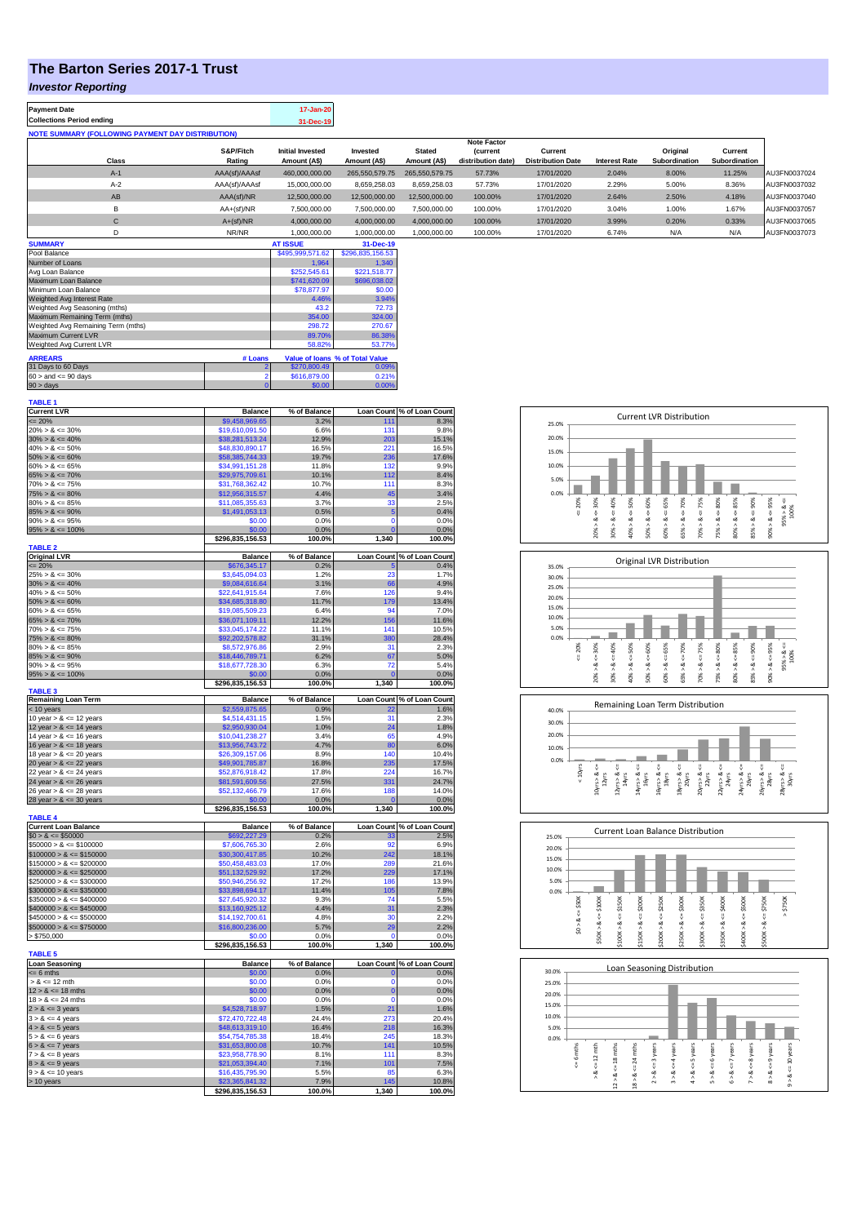## **The Barton Series 2017-1 Trust**

### *Investor Reporting*

| <b>Payment Date</b>                                      |                     | 17-Jan-20                               |                          |                               |                                      |                                     |                      |                           |                          |              |
|----------------------------------------------------------|---------------------|-----------------------------------------|--------------------------|-------------------------------|--------------------------------------|-------------------------------------|----------------------|---------------------------|--------------------------|--------------|
| <b>Collections Period ending</b>                         |                     | 31-Dec-19                               |                          |                               |                                      |                                     |                      |                           |                          |              |
| <b>NOTE SUMMARY (FOLLOWING PAYMENT DAY DISTRIBUTION)</b> |                     |                                         |                          |                               |                                      |                                     |                      |                           |                          |              |
|                                                          |                     |                                         |                          |                               | <b>Note Factor</b>                   |                                     |                      |                           |                          |              |
| Class                                                    | S&P/Fitch<br>Rating | <b>Initial Invested</b><br>Amount (A\$) | Invested<br>Amount (A\$) | <b>Stated</b><br>Amount (A\$) | <b>Current</b><br>distribution date) | Current<br><b>Distribution Date</b> | <b>Interest Rate</b> | Original<br>Subordination | Current<br>Subordination |              |
| $A-1$                                                    | AAA(sf)/AAAsf       | 460.000.000.00                          | 265.550.579.75           | 265.550.579.75                | 57.73%                               | 17/01/2020                          | 2.04%                | 8.00%                     | 11.25%                   | AU3FN0037024 |
| $A-2$                                                    | AAA(sf)/AAAsf       | 15,000,000,00                           | 8.659.258.03             | 8.659.258.03                  | 57.73%                               | 17/01/2020                          | 2.29%                | 5.00%                     | 8.36%                    | AU3FN0037032 |
| AB                                                       | AAA(sf)/NR          | 12.500.000.00                           | 12.500.000.00            | 12.500.000.00                 | 100.00%                              | 17/01/2020                          | 2.64%                | 2.50%                     | 4.18%                    | AU3FN0037040 |
| В                                                        | $AA+(sf)/NR$        | 7.500.000.00                            | 7.500.000.00             | 7,500,000.00                  | 100.00%                              | 17/01/2020                          | 3.04%                | 1.00%                     | 1.67%                    | AU3FN0037057 |
| С                                                        | $A+(sf)/NR$         | 4.000.000.00                            | 4.000.000.00             | 4.000.000.00                  | 100.00%                              | 17/01/2020                          | 3.99%                | 0.20%                     | 0.33%                    | AU3FN0037065 |
| D                                                        | NR/NR               | 1,000,000.00                            | 1.000.000.00             | 1,000,000.00                  | 100.00%                              | 17/01/2020                          | 6.74%                | N/A                       | N/A                      | AU3FN0037073 |
| <b>SUMMARY</b>                                           |                     | <b>AT ISSUE</b>                         | 31-Dec-19                |                               |                                      |                                     |                      |                           |                          |              |

| Pool Balance                       |         | \$495,999,571.62 | \$296.835.156.53                |
|------------------------------------|---------|------------------|---------------------------------|
| Number of Loans                    |         | 1.964            | 1.340                           |
| Avg Loan Balance                   |         | \$252,545.61     | \$221.518.77                    |
| Maximum Loan Balance               |         | \$741,620.09     | \$696,038.02                    |
| Minimum Loan Balance               |         | \$78,877.97      | \$0.00                          |
| Weighted Avg Interest Rate         |         | 4.46%            | 3.94%                           |
| Weighted Avg Seasoning (mths)      |         | 43.2             | 72.73                           |
| Maximum Remaining Term (mths)      |         | 354.00           | 324.00                          |
| Weighted Avg Remaining Term (mths) |         | 298.72           | 270.67                          |
| Maximum Current LVR                |         | 89.70%           | 86.38%                          |
| Weighted Avg Current LVR           |         | 58.82%           | 53.77%                          |
| <b>ARREARS</b>                     | # Loans |                  | Value of Ioans % of Total Value |
| 31 Days to 60 Days                 |         | \$270,800.49     | 0.09%                           |
| $60 >$ and $\leq 90$ days          |         | \$616,879.00     | 0.21%                           |
| $90 >$ days                        | 0       | \$0.00           | 0.00%                           |

| <b>TABLE 1</b>                              |                                    |                |                   |                            |
|---------------------------------------------|------------------------------------|----------------|-------------------|----------------------------|
| <b>Current LVR</b>                          | <b>Balance</b>                     | % of Balance   |                   | Loan Count % of Loan Count |
| $= 20%$                                     | \$9,458,969.65                     | 3.2%           | 111               | 8.3%                       |
| $20\% > 8 \le 30\%$                         | \$19,610,091.50                    | 6.6%           | 131               | 9.8%                       |
| $30\% > 8 \le 40\%$                         | \$38,281,513.24                    | 12.9%          | 203               | 15.1%                      |
| $40\% > 8 \le 50\%$                         | \$48,830,890.17                    | 16.5%          | 221               | 16.5%                      |
| $50\% > 8 \le 60\%$                         | \$58,385,744.33                    | 19.7%          | 236               | 17.6%                      |
| $60\% > 8 \le 65\%$                         | \$34,991,151.28                    | 11.8%          | 132               | 9.9%                       |
| $65\% > 8 \le 70\%$                         | \$29,975,709.61                    | 10.1%          | 112               | 8.4%                       |
| $70\% > 8 \le 75\%$                         | \$31,768,362.42                    | 10.7%          | 111               | 8.3%                       |
| $75\% > 8 \le 80\%$                         | \$12,956,315.57                    | 4.4%           | 45                | 3.4%                       |
| $80\% > 8 \le 85\%$                         | \$11,085,355.63                    | 3.7%           | 33                | 2.5%                       |
| $85\% > 8 \le 90\%$                         | \$1,491,053.13                     | 0.5%           | 5                 | 0.4%                       |
| $90\% > 8 \le 95\%$                         | \$0.00                             | 0.0%           | $\Omega$          | 0.0%                       |
|                                             |                                    |                | $\mathbf{0}$      |                            |
| $95\% > 8 \le 100\%$                        | \$0.00                             | 0.0%<br>100.0% |                   | 0.0%                       |
|                                             | \$296,835,156.53                   |                | 1,340             | 100.0%                     |
| <b>TABLE 2</b>                              |                                    |                |                   |                            |
| <b>Original LVR</b>                         | <b>Balance</b>                     | % of Balance   | <b>Loan Count</b> | % of Loan Count            |
| $= 20%$                                     | \$676,345.17                       | 0.2%           |                   | 0.4%                       |
| $25\% > 8 \le 30\%$                         | \$3,645,094.03                     | 1.2%           | 23                | 1.7%                       |
| $30\% > 8 \le 40\%$                         | \$9,084,616.64                     | 3.1%           | 66                | 4.9%                       |
| $40\% > 8 \le 50\%$                         | \$22,641,915.64                    | 7.6%           | 126               | 9.4%                       |
| $50\% > 8 \le 60\%$                         | \$34,685,318.80                    | 11.7%          | 179               | 13.4%                      |
| $60\% > 8 \le 65\%$                         | \$19,085,509.23                    | 6.4%           | 94                | 7.0%                       |
| $65\% > 8 \le 70\%$                         | \$36,071,109.11                    | 12.2%          | 156               | 11.6%                      |
| $70\% > 8 \le 75\%$                         | \$33,045,174.22                    | 11.1%          | 141               | 10.5%                      |
| $75\% > 8 \le 80\%$                         | \$92,202,578.82                    | 31.1%          | 380               | 28.4%                      |
| $80\% > 8 \le 85\%$                         | \$8,572,976.86                     | 2.9%           | 31                | 2.3%                       |
| $85\% > 8 \le 90\%$                         | \$18,446,789.71                    | 6.2%           | 67                | 5.0%                       |
| $90\% > 8 \le 95\%$                         | \$18,677,728.30                    | 6.3%           | 72                | 5.4%                       |
| $95\% > 8 \le 100\%$                        | \$0.00                             | 0.0%           |                   | 0.0%                       |
|                                             | \$296,835,156.53                   | 100.0%         | 1,340             | 100.0%                     |
| <b>TABLE 3</b>                              |                                    |                |                   |                            |
| <b>Remaining Loan Term</b>                  | <b>Balance</b>                     | % of Balance   |                   | Loan Count % of Loan Count |
| < 10 years                                  | \$2,559,875.65                     | 0.9%           |                   | 1.6%                       |
| 10 year $> 8 \le 12$ years                  | \$4,514,431.15                     | 1.5%           | 31                | 2.3%                       |
| 12 year $> 8 \le 14$ years                  | \$2,950,930.04                     | 1.0%           | 24                | 1.8%                       |
| 14 year $> 8 \le 16$ years                  | \$10,041,238.27                    | 3.4%           | 65                | 4.9%                       |
| 16 year $> 8 \le 18$ years                  | \$13,956,743.72                    | 4.7%           | 80                | 6.0%                       |
| 18 year $> 8 \le 20$ years                  | \$26,309,157.06                    | 8.9%           | 140               | 10.4%                      |
| 20 year $> 8 \le 22$ years                  | \$49,901,785.87                    | 16.8%          | 235               | 17.5%                      |
| 22 year $> 8 \le 24$ years                  | \$52,876,918.42                    | 17.8%          | 224               | 16.7%                      |
| 24 year $> 8 \le 26$ years                  | \$81,591,609.56                    | 27.5%          | 331               | 24.7%                      |
| 26 year $> 8 \le 28$ years                  | \$52,132,466.79                    | 17.6%          | 188               | 14.0%                      |
| 28 year $> 8 \le 30$ years                  | \$0.00                             | 0.0%           |                   | 0.0%                       |
|                                             | \$296,835,156.53                   | 100.0%         | 1,340             | 100.0%                     |
| <b>TABLE 4</b>                              |                                    |                |                   |                            |
| <b>Current Loan Balance</b>                 | <b>Balance</b>                     | % of Balance   |                   | Loan Count % of Loan Count |
| $$0 > 8 \leq $50000$                        | \$692,227.29                       | 0.2%           | 33                | 2.5%                       |
| $$50000 > 8 \le $100000$                    | \$7,606,765.30                     | 2.6%           | Q <sub>2</sub>    | 6.9%                       |
| $$100000 > 8 \leq $150000$                  | \$30,300,417.85                    | 10.2%          | 242               | 18.1%                      |
| $$150000 > 8 \le $200000$                   | \$50,458,483.03                    | 17.0%          | 289               | 21.6%                      |
| $$200000 > 8 \le $250000$                   | \$51,132,529.92                    | 17.2%          | 229               | 17.1%                      |
|                                             |                                    | 17.2%          | 186               |                            |
| $$250000 > 8 \leq $300000$                  | \$50,946,256.92                    |                |                   | 13.9%                      |
| $$300000 > 8 \leq $350000$                  | \$33,898,694.17                    | 11.4%          | 105               | 7.8%                       |
| $$350000 > 8 \le $400000$                   | \$27,645,920.32                    | 9.3%           | 74                | 5.5%                       |
| $$400000 > 8 \le $450000$                   | \$13,160,925.12                    | 4.4%           | 31                | 2.3%                       |
| $$450000 > 8 \le $500000$                   | \$14,192,700.61                    | 4.8%           | 30                | 2.2%                       |
| $$500000 > 8 \leq $750000$                  | \$16,800,236.00                    | 5.7%           | 29                | 2.2%                       |
| > \$750,000                                 | \$0.00                             | 0.0%           | ٢                 | 0.0%                       |
|                                             | \$296,835,156.53                   | 100.0%         | 1,340             | 100.0%                     |
| <b>TABLE 5</b>                              |                                    |                |                   |                            |
| <b>Loan Seasoning</b>                       | <b>Balance</b>                     | % of Balance   | <b>Loan Count</b> | % of Loan Count            |
| $= 6$ mths                                  |                                    |                |                   | 0.0%                       |
| $> 8 \le 12$ mth                            | \$0.00                             | 0.0%           | n                 |                            |
|                                             | \$0.00                             | 0.0%           | n                 | 0.0%                       |
| $12 > 8 \le 18$ mths                        | \$0.00                             | 0.0%           | 0                 | 0.0%                       |
| $18 > 8 \le 24$ mths                        | \$0.00                             | 0.0%           | $\Omega$          | 0.0%                       |
| $2 > 8 \le 3$ years                         | \$4,528,718.97                     | 1.5%           | 21                | 1.6%                       |
| $3 > 8 \le 4$ years                         | \$72,470,722.48                    | 24.4%          | 273               | 20.4%                      |
| $4 > 8 \le 5$ years                         | \$48,613,319.10                    | 16.4%          | 218               | 16.3%                      |
| $5 > 8 \le 6$ years                         | \$54,754,785.38                    | 18.4%          | 245               | 18.3%                      |
| $6 > 8 \le 7$ years                         | \$31,653,800.08                    | 10.7%          | 141               | 10.5%                      |
| $7 > 8 \le 8$ years                         | \$23,958,778.90                    | 8.1%           | 111               | 8.3%                       |
|                                             |                                    | 7.1%           |                   | 7.5%                       |
| $8 > 8 \le 9$ years<br>$9 > 8 \le 10$ years | \$21,053,394.40<br>\$16,435,795.90 | 5.5%           | 101<br>85         | 6.3%                       |
| > 10 years                                  | \$23,365,841.32                    | 7.9%           | 145               | 10.8%                      |

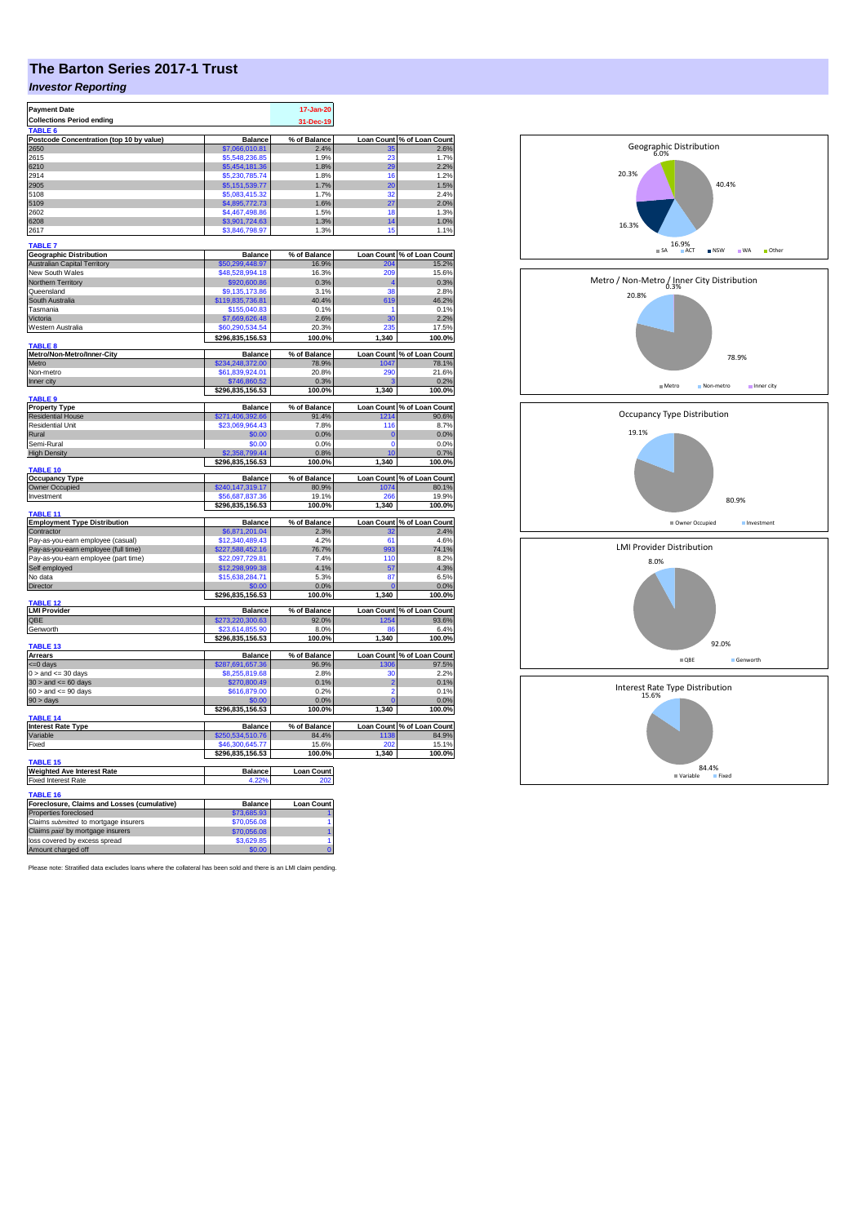# **The Barton Series 2017-1 Trust**

## *Investor Reporting*

| <b>Payment Date</b>                                             |                                     | 17-Jan-20                |             |                            |
|-----------------------------------------------------------------|-------------------------------------|--------------------------|-------------|----------------------------|
| <b>Collections Period ending</b>                                |                                     | 31-Dec-19                |             |                            |
| <b>TARIF</b>                                                    |                                     |                          |             |                            |
| Postcode Concentration (top 10 by value)                        | <b>Balance</b>                      | % of Balance             |             | Loan Count % of Loan Count |
| 2650                                                            | \$7,066,010.81                      | 2.4%                     |             | 2.6%                       |
| 2615                                                            | \$5,548,236.85                      | 1.9%                     | 23          | 1.7%                       |
| 6210                                                            | \$5,454,181.36                      | 1.8%                     | 2d          | 2.2%                       |
| 2914                                                            | \$5,230,785.74                      | 1.8%                     | 16          | 1.2%                       |
| 2905                                                            | \$5,151,539.77                      | 1.7%                     | 20          | 1.5%                       |
| 5108                                                            | \$5,083,415.32                      | 1.7%                     | 32          | 24%                        |
| 5109                                                            | \$4,895,772.73                      | 1.6%                     | 27          | 2.0%                       |
| 2602                                                            | \$4,467,498.86                      | 1.5%                     | 18          | 1.3%                       |
| 6208                                                            | \$3,901,724.63                      | 1.3%                     | 14          | 1.0%                       |
| 2617                                                            | \$3,846,798.97                      | 1.3%                     | 15          | 1.1%                       |
|                                                                 |                                     |                          |             |                            |
| <b>TABLE 7</b>                                                  |                                     |                          |             |                            |
| <b>Geographic Distribution</b>                                  | <b>Balance</b>                      | % of Balance             |             | Loan Count % of Loan Count |
| <b>Australian Capital Territory</b>                             | 50,299,448.97                       | 16.9%                    | $20-$       | 15.2%                      |
| New South Wales                                                 | \$48,528,994.18                     | 16.3%                    | 209         | 15.6%                      |
| Northern Territory                                              | \$920,600.86                        | 0.3%                     |             | 0.3%                       |
| Queensland                                                      | \$9,135,173.86                      | 3.1%                     | 38          | 2.8%                       |
| South Australia                                                 | \$119,835,736.81                    | 40.4%                    | 619         | 46.2%                      |
| Tasmania                                                        | \$155,040.83                        | 0.1%                     |             | 0.1%                       |
| Victoria                                                        | \$7,669,626.48                      | 2.6%                     | 30          | 2.2%                       |
| Western Australia                                               | \$60,290,534,54                     | 20.3%                    | 235         | 17.5%                      |
|                                                                 | \$296,835,156.53                    | 100.0%                   | 1,340       | 100.0%                     |
| TABLE <sub>8</sub>                                              |                                     |                          |             |                            |
| Metro/Non-Metro/Inner-City                                      | <b>Balance</b>                      | % of Balance             | Loan Count  | % of Loan Count            |
| Metro                                                           | \$234,248,372.00                    | 78.9%                    | 1047        | 78.1%                      |
| Non-metro                                                       | \$61,839,924.01                     | 20.8%                    | 290         | 21.6%                      |
| Inner city                                                      | \$746,860.52                        | 0.3%                     |             | 0.2%                       |
|                                                                 | \$296,835,156.53                    | 100.0%                   | 1,340       | 100.0%                     |
| TABLE 9                                                         |                                     |                          |             |                            |
| <b>Property Type</b>                                            | <b>Balance</b>                      | % of Balance             |             | Loan Count % of Loan Count |
| <b>Residential House</b>                                        | \$271,406,392.66                    | 91.4%                    | 1214        | 90.6%                      |
| <b>Residential Unit</b>                                         | \$23,069,964.43                     | 7.8%                     | 116         | 8.7%                       |
| Rural                                                           | \$0.00                              | 0.0%                     | C           | 0.0%                       |
| Semi-Rural                                                      | \$0.00                              | 0.0%                     | $\mathbf 0$ | 0.0%                       |
|                                                                 | \$2,358,799.44                      | 0.8%                     | 10          |                            |
| <b>High Density</b>                                             |                                     |                          |             | 0.7%<br>100.0%             |
| TABLE 10                                                        | \$296,835,156.53                    | 100.0%                   | 1,340       |                            |
| <b>Occupancy Type</b>                                           | <b>Balance</b>                      | % of Balance             |             | Loan Count % of Loan Count |
| Owner Occupied                                                  | \$240,147,319.17                    | 80.9%                    | 1074        | 80.1%                      |
| Investment                                                      | 56,687,837.36                       | 19.1%                    | 266         | 19.9%                      |
|                                                                 | \$296,835,156.53                    | 100.0%                   | 1,340       | 100.0%                     |
| TABLE 11                                                        |                                     |                          |             |                            |
| <b>Employment Type Distribution</b>                             | <b>Balance</b>                      | % of Balance             |             | Loan Count % of Loan Count |
| Contractor                                                      | 66,871,201.04                       | 2.3%                     |             | 2.4%                       |
| Pay-as-you-earn employee (casual)                               | \$12,340,489,43                     | 4.2%                     | 61          | 4.6%                       |
| Pay-as-you-earn employee (full time)                            | \$227,588,452.16                    | 76.7%                    | 993         | 74.1%                      |
|                                                                 |                                     | 7.4%                     | 110         | 8.2%                       |
| Pay-as-you-earn employee (part time)                            | \$22,097,729.81<br>\$12,298,999.38  | 4.1%                     | 57          | 4.3%                       |
| Self employed                                                   |                                     |                          |             |                            |
| No data                                                         | \$15,638,284.71                     | 5.3%                     | 87          | 6.5%                       |
| <b>Director</b>                                                 |                                     | 0.0%                     |             | 0.0%                       |
| <b>TARI F 13</b>                                                | \$296,835,156.53                    | 100.0%                   | 1,340       | 100.0%                     |
| <b>LMI Provider</b>                                             | <b>Balance</b>                      | % of Balance             |             | Loan Count % of Loan Count |
| QBE                                                             | \$273,220,300.63                    | 92.0%                    | 1254        | 93.6%                      |
|                                                                 |                                     |                          | <b>R</b>    |                            |
| Genworth                                                        | \$23,614,855.90<br>\$296,835,156.53 | 8.0%<br>100.0%           | 1,340       | 6.4%<br>100.0%             |
| TABLE 13                                                        |                                     |                          |             |                            |
| <b>Arrears</b>                                                  | <b>Balance</b>                      | % of Balance             |             | Loan Count % of Loan Count |
| <= 0 days                                                       | \$287,691,657.36                    | 96.9%                    | 1306        | 97.5%                      |
| $0 >$ and $\lt = 30$ days                                       | \$8,255,819.68                      | 2.8%                     | 30          | 2.2%                       |
| $30 >$ and $\leq 60$ days                                       | \$270,800.49                        | 0.1%                     | 2           | 0.1%                       |
| $60 >$ and $\leq 90$ days                                       | \$616,879.00                        | 0.2%                     | 2           | 0.1%                       |
|                                                                 |                                     |                          |             |                            |
| $90 > \text{days}$                                              | \$0.00<br>\$296,835,156.53          | 0.0%<br>100.0%           | 1,340       | 0.0%<br>100.0%             |
| TABLE <sub>14</sub>                                             |                                     |                          |             |                            |
| <b>Interest Rate Type</b>                                       | <b>Balance</b>                      | % of Balance             |             | Loan Count % of Loan Count |
| Variable                                                        | \$250,534,510.76                    | 84.4%                    | 1138        | 84.9%                      |
| Fixed                                                           |                                     | 15.6%                    |             | 15.1%                      |
|                                                                 | \$46,300,645.77                     |                          | 201         |                            |
| TABLE <sub>15</sub>                                             | \$296,835,156.53                    | 100.0%                   | 1,340       | 100.0%                     |
|                                                                 |                                     |                          |             |                            |
| <b>Weighted Ave Interest Rate</b><br><b>Fixed Interest Rate</b> | <b>Balance</b><br>4.22%             | <b>Loan Count</b><br>202 |             |                            |
|                                                                 |                                     |                          |             |                            |
| TABLE 16                                                        |                                     |                          |             |                            |
| Foreclosure, Claims and Losses (cumulative)                     | <b>Balance</b>                      | <b>Loan Count</b>        |             |                            |
| Properties foreclosed                                           | \$73,685.93                         |                          |             |                            |
| Claims submitted to mortgage insurers                           | \$70,056.08                         |                          |             |                            |
| Claims paid by mortgage insurers                                | \$70,056.08                         |                          |             |                            |
| loss covered by excess spread                                   | \$3,629.85                          |                          |             |                            |
| Amount charged off                                              | \$0.00                              |                          |             |                            |
|                                                                 |                                     |                          |             |                            |